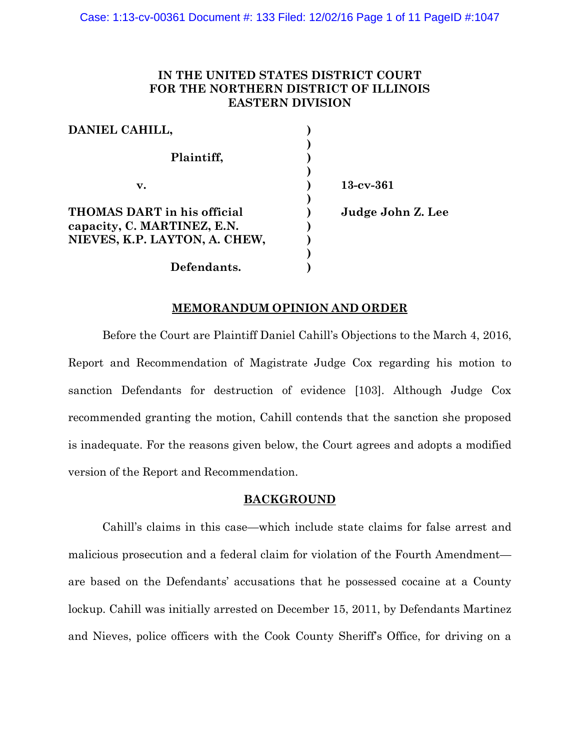# **IN THE UNITED STATES DISTRICT COURT FOR THE NORTHERN DISTRICT OF ILLINOIS EASTERN DIVISION**

| DANIEL CAHILL,                |                   |
|-------------------------------|-------------------|
|                               |                   |
| Plaintiff,                    |                   |
| v.                            | $13$ -cv- $361$   |
|                               |                   |
| THOMAS DART in his official   | Judge John Z. Lee |
| capacity, C. MARTINEZ, E.N.   |                   |
| NIEVES, K.P. LAYTON, A. CHEW, |                   |
|                               |                   |
| Defendants.                   |                   |

## **MEMORANDUM OPINION AND ORDER**

Before the Court are Plaintiff Daniel Cahill's Objections to the March 4, 2016, Report and Recommendation of Magistrate Judge Cox regarding his motion to sanction Defendants for destruction of evidence [103]. Although Judge Cox recommended granting the motion, Cahill contends that the sanction she proposed is inadequate. For the reasons given below, the Court agrees and adopts a modified version of the Report and Recommendation.

### **BACKGROUND**

Cahill's claims in this case—which include state claims for false arrest and malicious prosecution and a federal claim for violation of the Fourth Amendment are based on the Defendants' accusations that he possessed cocaine at a County lockup. Cahill was initially arrested on December 15, 2011, by Defendants Martinez and Nieves, police officers with the Cook County Sheriff's Office, for driving on a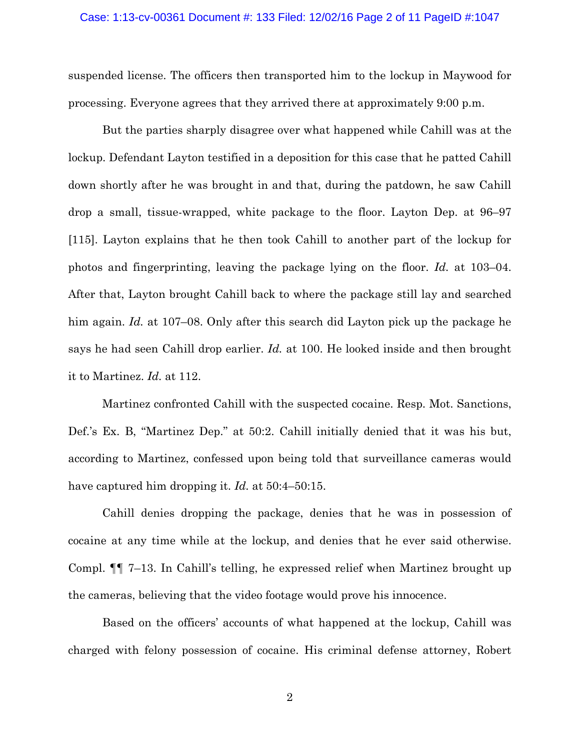#### Case: 1:13-cv-00361 Document #: 133 Filed: 12/02/16 Page 2 of 11 PageID #:1047

suspended license. The officers then transported him to the lockup in Maywood for processing. Everyone agrees that they arrived there at approximately 9:00 p.m.

But the parties sharply disagree over what happened while Cahill was at the lockup. Defendant Layton testified in a deposition for this case that he patted Cahill down shortly after he was brought in and that, during the patdown, he saw Cahill drop a small, tissue-wrapped, white package to the floor. Layton Dep. at 96–97 [115]. Layton explains that he then took Cahill to another part of the lockup for photos and fingerprinting, leaving the package lying on the floor. *Id.* at 103–04. After that, Layton brought Cahill back to where the package still lay and searched him again. *Id.* at 107–08. Only after this search did Layton pick up the package he says he had seen Cahill drop earlier. *Id.* at 100. He looked inside and then brought it to Martinez. *Id.* at 112.

Martinez confronted Cahill with the suspected cocaine. Resp. Mot. Sanctions, Def.'s Ex. B, "Martinez Dep." at 50:2. Cahill initially denied that it was his but, according to Martinez, confessed upon being told that surveillance cameras would have captured him dropping it. *Id.* at 50:4–50:15.

Cahill denies dropping the package, denies that he was in possession of cocaine at any time while at the lockup, and denies that he ever said otherwise. Compl. ¶¶ 7–13. In Cahill's telling, he expressed relief when Martinez brought up the cameras, believing that the video footage would prove his innocence.

Based on the officers' accounts of what happened at the lockup, Cahill was charged with felony possession of cocaine. His criminal defense attorney, Robert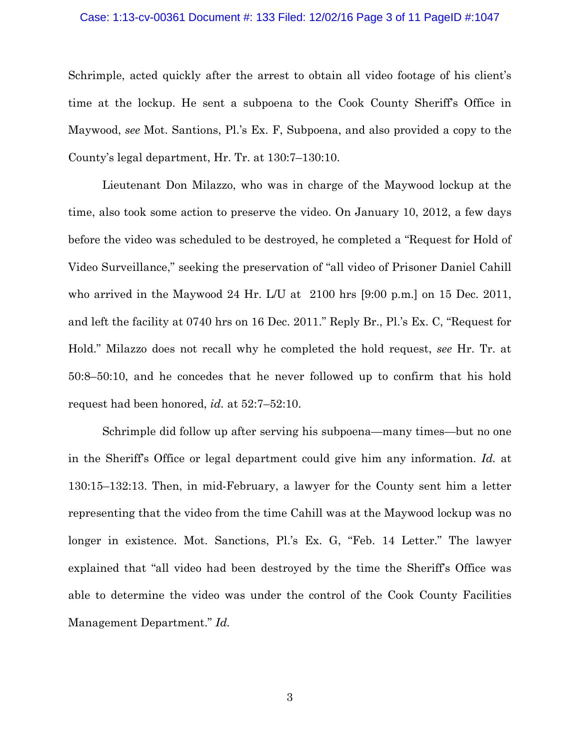#### Case: 1:13-cv-00361 Document #: 133 Filed: 12/02/16 Page 3 of 11 PageID #:1047

Schrimple, acted quickly after the arrest to obtain all video footage of his client's time at the lockup. He sent a subpoena to the Cook County Sheriff's Office in Maywood, *see* Mot. Santions, Pl.'s Ex. F, Subpoena, and also provided a copy to the County's legal department, Hr. Tr. at 130:7–130:10.

Lieutenant Don Milazzo, who was in charge of the Maywood lockup at the time, also took some action to preserve the video. On January 10, 2012, a few days before the video was scheduled to be destroyed, he completed a "Request for Hold of Video Surveillance," seeking the preservation of "all video of Prisoner Daniel Cahill who arrived in the Maywood 24 Hr. L/U at 2100 hrs [9:00 p.m.] on 15 Dec. 2011, and left the facility at 0740 hrs on 16 Dec. 2011." Reply Br., Pl.'s Ex. C, "Request for Hold." Milazzo does not recall why he completed the hold request, *see* Hr. Tr. at 50:8–50:10, and he concedes that he never followed up to confirm that his hold request had been honored, *id.* at 52:7–52:10.

Schrimple did follow up after serving his subpoena—many times—but no one in the Sheriff's Office or legal department could give him any information. *Id.* at 130:15–132:13. Then, in mid-February, a lawyer for the County sent him a letter representing that the video from the time Cahill was at the Maywood lockup was no longer in existence. Mot. Sanctions, Pl.'s Ex. G, "Feb. 14 Letter." The lawyer explained that "all video had been destroyed by the time the Sheriff's Office was able to determine the video was under the control of the Cook County Facilities Management Department." *Id.*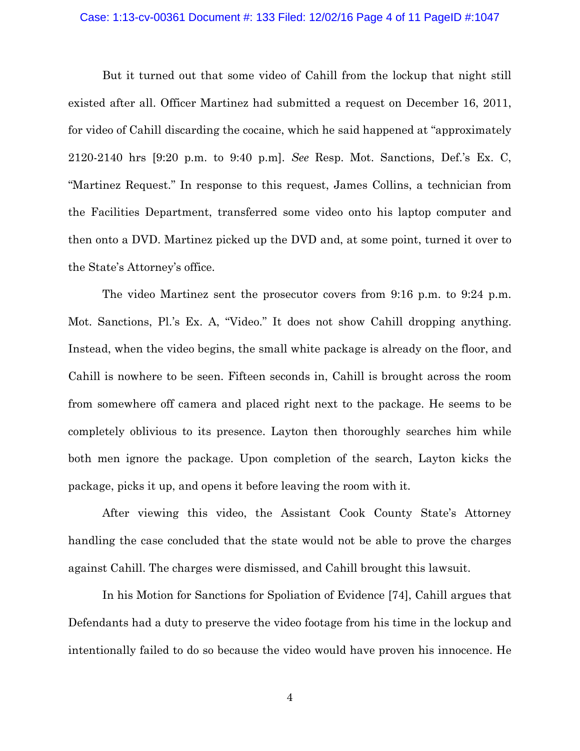#### Case: 1:13-cv-00361 Document #: 133 Filed: 12/02/16 Page 4 of 11 PageID #:1047

But it turned out that some video of Cahill from the lockup that night still existed after all. Officer Martinez had submitted a request on December 16, 2011, for video of Cahill discarding the cocaine, which he said happened at "approximately 2120-2140 hrs [9:20 p.m. to 9:40 p.m]. *See* Resp. Mot. Sanctions, Def.'s Ex. C, "Martinez Request." In response to this request, James Collins, a technician from the Facilities Department, transferred some video onto his laptop computer and then onto a DVD. Martinez picked up the DVD and, at some point, turned it over to the State's Attorney's office.

The video Martinez sent the prosecutor covers from 9:16 p.m. to 9:24 p.m. Mot. Sanctions, Pl.'s Ex. A, "Video." It does not show Cahill dropping anything. Instead, when the video begins, the small white package is already on the floor, and Cahill is nowhere to be seen. Fifteen seconds in, Cahill is brought across the room from somewhere off camera and placed right next to the package. He seems to be completely oblivious to its presence. Layton then thoroughly searches him while both men ignore the package. Upon completion of the search, Layton kicks the package, picks it up, and opens it before leaving the room with it.

After viewing this video, the Assistant Cook County State's Attorney handling the case concluded that the state would not be able to prove the charges against Cahill. The charges were dismissed, and Cahill brought this lawsuit.

In his Motion for Sanctions for Spoliation of Evidence [74], Cahill argues that Defendants had a duty to preserve the video footage from his time in the lockup and intentionally failed to do so because the video would have proven his innocence. He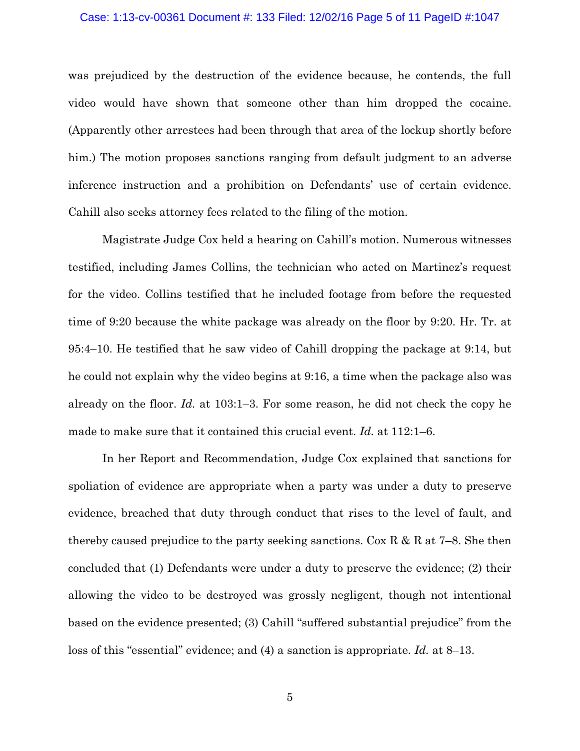#### Case: 1:13-cv-00361 Document #: 133 Filed: 12/02/16 Page 5 of 11 PageID #:1047

was prejudiced by the destruction of the evidence because, he contends, the full video would have shown that someone other than him dropped the cocaine. (Apparently other arrestees had been through that area of the lockup shortly before him.) The motion proposes sanctions ranging from default judgment to an adverse inference instruction and a prohibition on Defendants' use of certain evidence. Cahill also seeks attorney fees related to the filing of the motion.

Magistrate Judge Cox held a hearing on Cahill's motion. Numerous witnesses testified, including James Collins, the technician who acted on Martinez's request for the video. Collins testified that he included footage from before the requested time of 9:20 because the white package was already on the floor by 9:20. Hr. Tr. at 95:4–10. He testified that he saw video of Cahill dropping the package at 9:14, but he could not explain why the video begins at 9:16, a time when the package also was already on the floor. *Id.* at 103:1–3. For some reason, he did not check the copy he made to make sure that it contained this crucial event. *Id.* at 112:1–6.

In her Report and Recommendation, Judge Cox explained that sanctions for spoliation of evidence are appropriate when a party was under a duty to preserve evidence, breached that duty through conduct that rises to the level of fault, and thereby caused prejudice to the party seeking sanctions. Cox R & R at 7–8. She then concluded that (1) Defendants were under a duty to preserve the evidence; (2) their allowing the video to be destroyed was grossly negligent, though not intentional based on the evidence presented; (3) Cahill "suffered substantial prejudice" from the loss of this "essential" evidence; and (4) a sanction is appropriate. *Id.* at 8–13.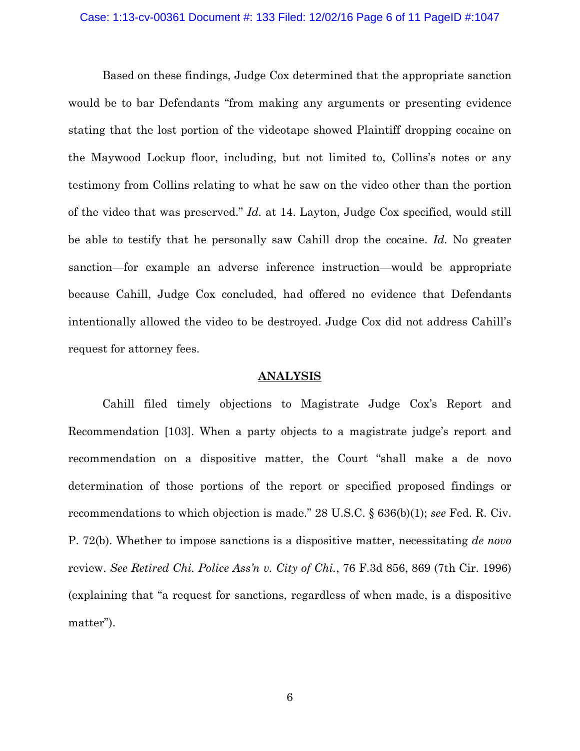#### Case: 1:13-cv-00361 Document #: 133 Filed: 12/02/16 Page 6 of 11 PageID #:1047

Based on these findings, Judge Cox determined that the appropriate sanction would be to bar Defendants "from making any arguments or presenting evidence stating that the lost portion of the videotape showed Plaintiff dropping cocaine on the Maywood Lockup floor, including, but not limited to, Collins's notes or any testimony from Collins relating to what he saw on the video other than the portion of the video that was preserved." *Id.* at 14. Layton, Judge Cox specified, would still be able to testify that he personally saw Cahill drop the cocaine. *Id.* No greater sanction—for example an adverse inference instruction—would be appropriate because Cahill, Judge Cox concluded, had offered no evidence that Defendants intentionally allowed the video to be destroyed. Judge Cox did not address Cahill's request for attorney fees.

### **ANALYSIS**

Cahill filed timely objections to Magistrate Judge Cox's Report and Recommendation [103]. When a party objects to a magistrate judge's report and recommendation on a dispositive matter, the Court "shall make a de novo determination of those portions of the report or specified proposed findings or recommendations to which objection is made." 28 U.S.C. § 636(b)(1); *see* Fed. R. Civ. P. 72(b). Whether to impose sanctions is a dispositive matter, necessitating *de novo* review. *See Retired Chi. Police Ass'n v. City of Chi.*, 76 F.3d 856, 869 (7th Cir. 1996) (explaining that "a request for sanctions, regardless of when made, is a dispositive matter").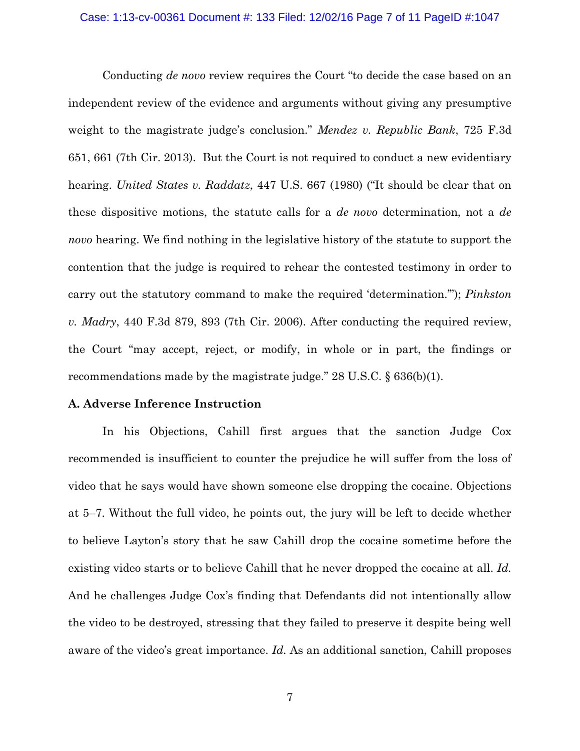#### Case: 1:13-cv-00361 Document #: 133 Filed: 12/02/16 Page 7 of 11 PageID #:1047

Conducting *de novo* review requires the Court "to decide the case based on an independent review of the evidence and arguments without giving any presumptive weight to the magistrate judge's conclusion." *Mendez v. Republic Bank*, 725 F.3d 651, 661 (7th Cir. 2013). But the Court is not required to conduct a new evidentiary hearing. *United States v. Raddatz*, 447 U.S. 667 (1980) ("It should be clear that on these dispositive motions, the statute calls for a *de novo* determination, not a *de novo* hearing. We find nothing in the legislative history of the statute to support the contention that the judge is required to rehear the contested testimony in order to carry out the statutory command to make the required 'determination.'"); *Pinkston v. Madry*, 440 F.3d 879, 893 (7th Cir. 2006). After conducting the required review, the Court "may accept, reject, or modify, in whole or in part, the findings or recommendations made by the magistrate judge."  $28 \text{ U.S.C. }$  § 636(b)(1).

### **A. Adverse Inference Instruction**

In his Objections, Cahill first argues that the sanction Judge Cox recommended is insufficient to counter the prejudice he will suffer from the loss of video that he says would have shown someone else dropping the cocaine. Objections at 5–7. Without the full video, he points out, the jury will be left to decide whether to believe Layton's story that he saw Cahill drop the cocaine sometime before the existing video starts or to believe Cahill that he never dropped the cocaine at all. *Id.*  And he challenges Judge Cox's finding that Defendants did not intentionally allow the video to be destroyed, stressing that they failed to preserve it despite being well aware of the video's great importance. *Id.* As an additional sanction, Cahill proposes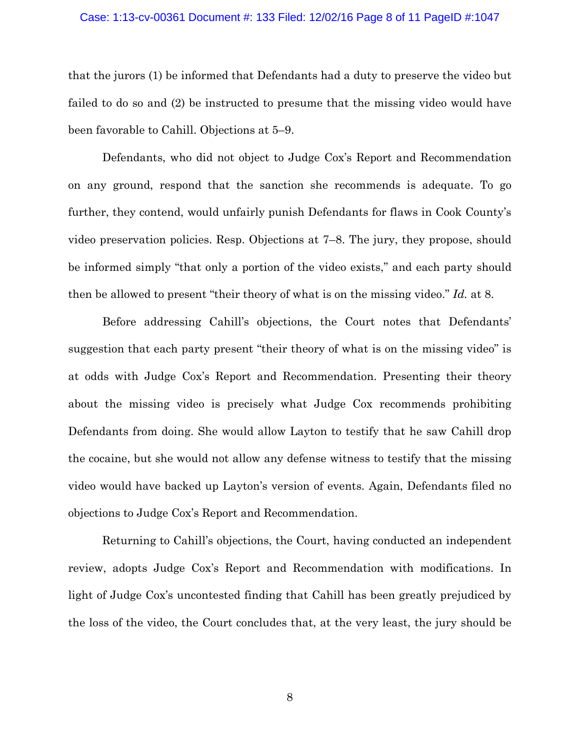#### Case: 1:13-cv-00361 Document #: 133 Filed: 12/02/16 Page 8 of 11 PageID #:1047

that the jurors (1) be informed that Defendants had a duty to preserve the video but failed to do so and (2) be instructed to presume that the missing video would have been favorable to Cahill. Objections at 5–9.

Defendants, who did not object to Judge Cox's Report and Recommendation on any ground, respond that the sanction she recommends is adequate. To go further, they contend, would unfairly punish Defendants for flaws in Cook County's video preservation policies. Resp. Objections at 7–8. The jury, they propose, should be informed simply "that only a portion of the video exists," and each party should then be allowed to present "their theory of what is on the missing video." *Id.* at 8.

Before addressing Cahill's objections, the Court notes that Defendants' suggestion that each party present "their theory of what is on the missing video" is at odds with Judge Cox's Report and Recommendation. Presenting their theory about the missing video is precisely what Judge Cox recommends prohibiting Defendants from doing. She would allow Layton to testify that he saw Cahill drop the cocaine, but she would not allow any defense witness to testify that the missing video would have backed up Layton's version of events. Again, Defendants filed no objections to Judge Cox's Report and Recommendation.

Returning to Cahill's objections, the Court, having conducted an independent review, adopts Judge Cox's Report and Recommendation with modifications. In light of Judge Cox's uncontested finding that Cahill has been greatly prejudiced by the loss of the video, the Court concludes that, at the very least, the jury should be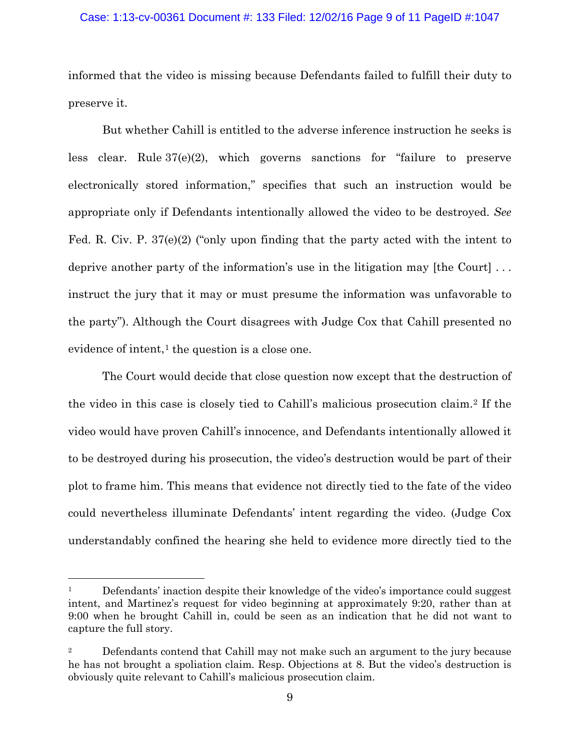### Case: 1:13-cv-00361 Document #: 133 Filed: 12/02/16 Page 9 of 11 PageID #:1047

informed that the video is missing because Defendants failed to fulfill their duty to preserve it.

But whether Cahill is entitled to the adverse inference instruction he seeks is less clear. Rule 37(e)(2), which governs sanctions for "failure to preserve electronically stored information," specifies that such an instruction would be appropriate only if Defendants intentionally allowed the video to be destroyed. *See* Fed. R. Civ. P. 37(e)(2) ("only upon finding that the party acted with the intent to deprive another party of the information's use in the litigation may [the Court] . . . instruct the jury that it may or must presume the information was unfavorable to the party"). Although the Court disagrees with Judge Cox that Cahill presented no evidence of intent, $<sup>1</sup>$  $<sup>1</sup>$  $<sup>1</sup>$  the question is a close one.</sup>

The Court would decide that close question now except that the destruction of the video in this case is closely tied to Cahill's malicious prosecution claim.[2](#page-8-1) If the video would have proven Cahill's innocence, and Defendants intentionally allowed it to be destroyed during his prosecution, the video's destruction would be part of their plot to frame him. This means that evidence not directly tied to the fate of the video could nevertheless illuminate Defendants' intent regarding the video. (Judge Cox understandably confined the hearing she held to evidence more directly tied to the

 $\overline{a}$ 

<span id="page-8-0"></span> $1$  Defendants' inaction despite their knowledge of the video's importance could suggest intent, and Martinez's request for video beginning at approximately 9:20, rather than at 9:00 when he brought Cahill in, could be seen as an indication that he did not want to capture the full story.

<span id="page-8-1"></span><sup>&</sup>lt;sup>2</sup> Defendants contend that Cahill may not make such an argument to the jury because he has not brought a spoliation claim. Resp. Objections at 8. But the video's destruction is obviously quite relevant to Cahill's malicious prosecution claim.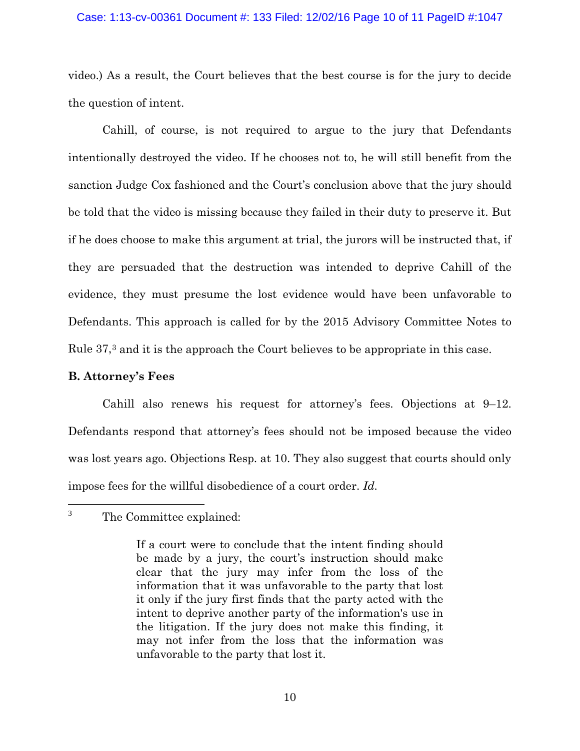### Case: 1:13-cv-00361 Document #: 133 Filed: 12/02/16 Page 10 of 11 PageID #:1047

video.) As a result, the Court believes that the best course is for the jury to decide the question of intent.

Cahill, of course, is not required to argue to the jury that Defendants intentionally destroyed the video. If he chooses not to, he will still benefit from the sanction Judge Cox fashioned and the Court's conclusion above that the jury should be told that the video is missing because they failed in their duty to preserve it. But if he does choose to make this argument at trial, the jurors will be instructed that, if they are persuaded that the destruction was intended to deprive Cahill of the evidence, they must presume the lost evidence would have been unfavorable to Defendants. This approach is called for by the 2015 Advisory Committee Notes to Rule 37,[3](#page-9-0) and it is the approach the Court believes to be appropriate in this case.

## **B. Attorney's Fees**

Cahill also renews his request for attorney's fees. Objections at 9–12. Defendants respond that attorney's fees should not be imposed because the video was lost years ago. Objections Resp. at 10. They also suggest that courts should only impose fees for the willful disobedience of a court order. *Id.* 

<span id="page-9-0"></span>The Committee explained:  $3<sup>7</sup>$ 

If a court were to conclude that the intent finding should be made by a jury, the court's instruction should make clear that the jury may infer from the loss of the information that it was unfavorable to the party that lost it only if the jury first finds that the party acted with the intent to deprive another party of the information's use in the litigation. If the jury does not make this finding, it may not infer from the loss that the information was unfavorable to the party that lost it.